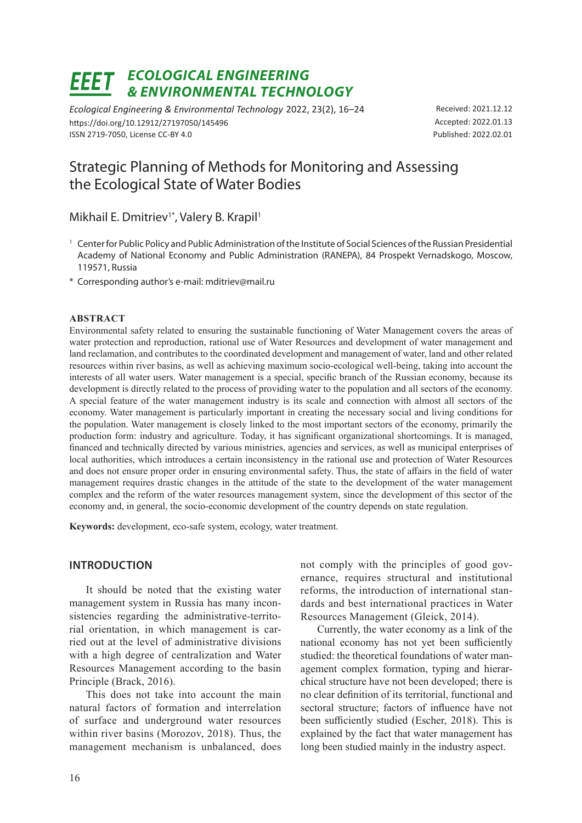# *ECOLOGICAL ENGINEERING & ENVIRONMENTAL TECHNOLOGY*

*Ecological Engineering & Environmental Technology* 2022, 23(2), 16–24 https://doi.org/10.12912/27197050/145496 ISSN 2719-7050, License CC-BY 4.0

Received: 2021.12.12 Accepted: 2022.01.13 Published: 2022.02.01

# Strategic Planning of Methods for Monitoring and Assessing the Ecological State of Water Bodies

Mikhail E. Dmitriev<sup>1</sup>\*, Valery B. Krapil<sup>1</sup>

- <sup>1</sup> Center for Public Policy and Public Administration of the Institute of Social Sciences of the Russian Presidential Academy of National Economy and Public Administration (RANEPA), 84 Prospekt Vernadskogo, Moscow, 119571, Russia
- \* Corresponding author's e-mail: mditriev@mail.ru

#### **ABSTRACT**

Environmental safety related to ensuring the sustainable functioning of Water Management covers the areas of water protection and reproduction, rational use of Water Resources and development of water management and land reclamation, and contributes to the coordinated development and management of water, land and other related resources within river basins, as well as achieving maximum socio-ecological well-being, taking into account the interests of all water users. Water management is a special, specific branch of the Russian economy, because its development is directly related to the process of providing water to the population and all sectors of the economy. A special feature of the water management industry is its scale and connection with almost all sectors of the economy. Water management is particularly important in creating the necessary social and living conditions for the population. Water management is closely linked to the most important sectors of the economy, primarily the production form: industry and agriculture. Today, it has significant organizational shortcomings. It is managed, financed and technically directed by various ministries, agencies and services, as well as municipal enterprises of local authorities, which introduces a certain inconsistency in the rational use and protection of Water Resources and does not ensure proper order in ensuring environmental safety. Thus, the state of affairs in the field of water management requires drastic changes in the attitude of the state to the development of the water management complex and the reform of the water resources management system, since the development of this sector of the economy and, in general, the socio-economic development of the country depends on state regulation.

**Keywords:** development, eco-safe system, ecology, water treatment.

#### **INTRODUCTION**

It should be noted that the existing water management system in Russia has many inconsistencies regarding the administrative-territorial orientation, in which management is carried out at the level of administrative divisions with a high degree of centralization and Water Resources Management according to the basin Principle (Brack, 2016).

This does not take into account the main natural factors of formation and interrelation of surface and underground water resources within river basins (Morozov, 2018). Thus, the management mechanism is unbalanced, does not comply with the principles of good governance, requires structural and institutional reforms, the introduction of international standards and best international practices in Water Resources Management (Gleick, 2014).

Currently, the water economy as a link of the national economy has not yet been sufficiently studied: the theoretical foundations of water management complex formation, typing and hierarchical structure have not been developed; there is no clear definition of its territorial, functional and sectoral structure; factors of influence have not been sufficiently studied (Escher, 2018). This is explained by the fact that water management has long been studied mainly in the industry aspect.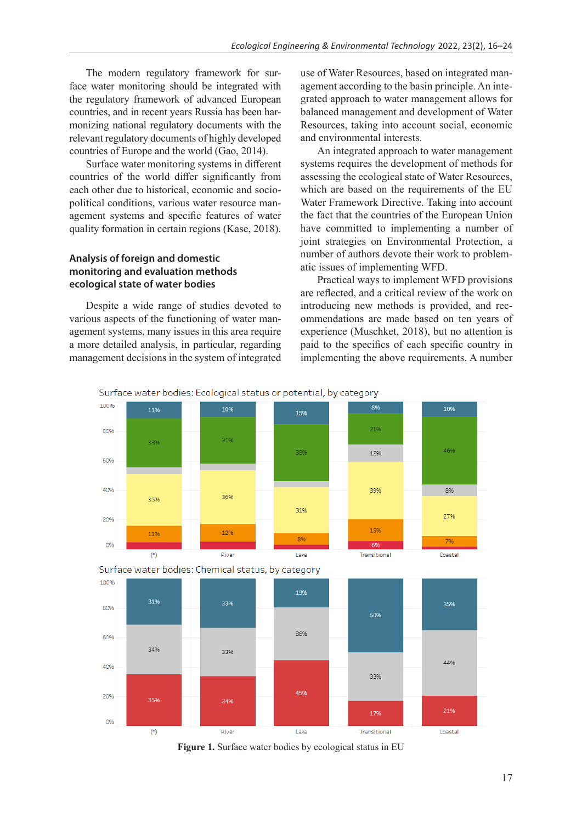The modern regulatory framework for surface water monitoring should be integrated with the regulatory framework of advanced European countries, and in recent years Russia has been harmonizing national regulatory documents with the relevant regulatory documents of highly developed countries of Europe and the world (Gao, 2014).

Surface water monitoring systems in different countries of the world differ significantly from each other due to historical, economic and sociopolitical conditions, various water resource management systems and specific features of water quality formation in certain regions (Kase, 2018).

## **Analysis of foreign and domestic monitoring and evaluation methods ecological state of water bodies**

Despite a wide range of studies devoted to various aspects of the functioning of water management systems, many issues in this area require a more detailed analysis, in particular, regarding management decisions in the system of integrated use of Water Resources, based on integrated management according to the basin principle. An integrated approach to water management allows for balanced management and development of Water Resources, taking into account social, economic and environmental interests.

An integrated approach to water management systems requires the development of methods for assessing the ecological state of Water Resources, which are based on the requirements of the EU Water Framework Directive. Taking into account the fact that the countries of the European Union have committed to implementing a number of joint strategies on Environmental Protection, a number of authors devote their work to problematic issues of implementing WFD.

Practical ways to implement WFD provisions are reflected, and a critical review of the work on introducing new methods is provided, and recommendations are made based on ten years of experience (Muschket, 2018), but no attention is paid to the specifics of each specific country in implementing the above requirements. A number

Surface water bodies: Ecological status or potential, by category



**Figure 1.** Surface water bodies by ecological status in EU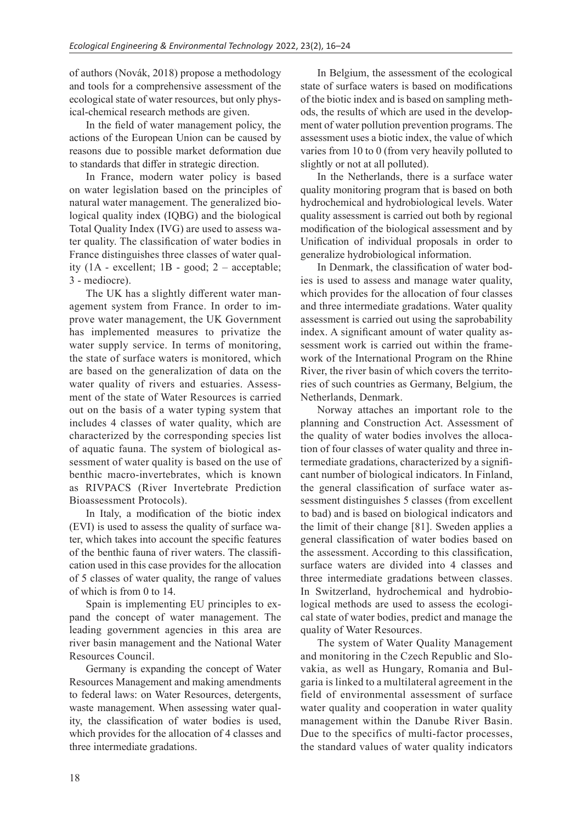of authors (Novák, 2018) propose a methodology and tools for a comprehensive assessment of the ecological state of water resources, but only physical-chemical research methods are given.

In the field of water management policy, the actions of the European Union can be caused by reasons due to possible market deformation due to standards that differ in strategic direction.

In France, modern water policy is based on water legislation based on the principles of natural water management. The generalized biological quality index (IQBG) and the biological Total Quality Index (IVG) are used to assess water quality. The classification of water bodies in France distinguishes three classes of water quality  $(1A - excellent; 1B - good; 2 - acceptable;$ 3 - mediocre).

The UK has a slightly different water management system from France. In order to improve water management, the UK Government has implemented measures to privatize the water supply service. In terms of monitoring, the state of surface waters is monitored, which are based on the generalization of data on the water quality of rivers and estuaries. Assessment of the state of Water Resources is carried out on the basis of a water typing system that includes 4 classes of water quality, which are characterized by the corresponding species list of aquatic fauna. The system of biological assessment of water quality is based on the use of benthic macro-invertebrates, which is known as RIVPACS (River Invertebrate Prediction Bioassessment Protocols).

In Italy, a modification of the biotic index (EVI) is used to assess the quality of surface water, which takes into account the specific features of the benthic fauna of river waters. The classification used in this case provides for the allocation of 5 classes of water quality, the range of values of which is from 0 to 14.

Spain is implementing EU principles to expand the concept of water management. The leading government agencies in this area are river basin management and the National Water Resources Council.

Germany is expanding the concept of Water Resources Management and making amendments to federal laws: on Water Resources, detergents, waste management. When assessing water quality, the classification of water bodies is used, which provides for the allocation of 4 classes and three intermediate gradations.

In Belgium, the assessment of the ecological state of surface waters is based on modifications of the biotic index and is based on sampling methods, the results of which are used in the development of water pollution prevention programs. The assessment uses a biotic index, the value of which varies from 10 to 0 (from very heavily polluted to slightly or not at all polluted).

In the Netherlands, there is a surface water quality monitoring program that is based on both hydrochemical and hydrobiological levels. Water quality assessment is carried out both by regional modification of the biological assessment and by Unification of individual proposals in order to generalize hydrobiological information.

In Denmark, the classification of water bodies is used to assess and manage water quality, which provides for the allocation of four classes and three intermediate gradations. Water quality assessment is carried out using the saprobability index. A significant amount of water quality assessment work is carried out within the framework of the International Program on the Rhine River, the river basin of which covers the territories of such countries as Germany, Belgium, the Netherlands, Denmark.

Norway attaches an important role to the planning and Construction Act. Assessment of the quality of water bodies involves the allocation of four classes of water quality and three intermediate gradations, characterized by a significant number of biological indicators. In Finland, the general classification of surface water assessment distinguishes 5 classes (from excellent to bad) and is based on biological indicators and the limit of their change [81]. Sweden applies a general classification of water bodies based on the assessment. According to this classification, surface waters are divided into 4 classes and three intermediate gradations between classes. In Switzerland, hydrochemical and hydrobiological methods are used to assess the ecological state of water bodies, predict and manage the quality of Water Resources.

The system of Water Quality Management and monitoring in the Czech Republic and Slovakia, as well as Hungary, Romania and Bulgaria is linked to a multilateral agreement in the field of environmental assessment of surface water quality and cooperation in water quality management within the Danube River Basin. Due to the specifics of multi-factor processes, the standard values of water quality indicators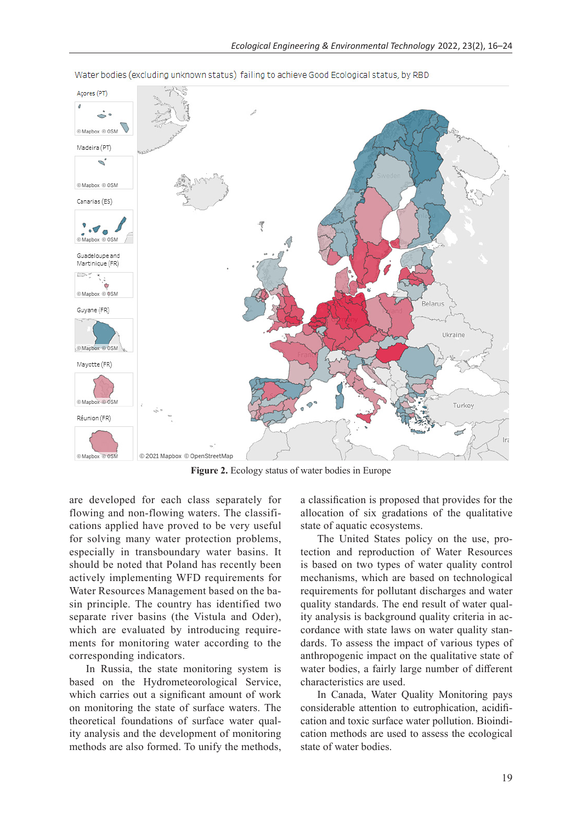

Water bodies (excluding unknown status) failing to achieve Good Ecological status, by RBD

**Figure 2.** Ecology status of water bodies in Europe

are developed for each class separately for flowing and non-flowing waters. The classifications applied have proved to be very useful for solving many water protection problems, especially in transboundary water basins. It should be noted that Poland has recently been actively implementing WFD requirements for Water Resources Management based on the basin principle. The country has identified two separate river basins (the Vistula and Oder), which are evaluated by introducing requirements for monitoring water according to the corresponding indicators.

In Russia, the state monitoring system is based on the Hydrometeorological Service, which carries out a significant amount of work on monitoring the state of surface waters. The theoretical foundations of surface water quality analysis and the development of monitoring methods are also formed. To unify the methods, a classification is proposed that provides for the allocation of six gradations of the qualitative state of aquatic ecosystems.

The United States policy on the use, protection and reproduction of Water Resources is based on two types of water quality control mechanisms, which are based on technological requirements for pollutant discharges and water quality standards. The end result of water quality analysis is background quality criteria in accordance with state laws on water quality standards. To assess the impact of various types of anthropogenic impact on the qualitative state of water bodies, a fairly large number of different characteristics are used.

In Canada, Water Quality Monitoring pays considerable attention to eutrophication, acidification and toxic surface water pollution. Bioindication methods are used to assess the ecological state of water bodies.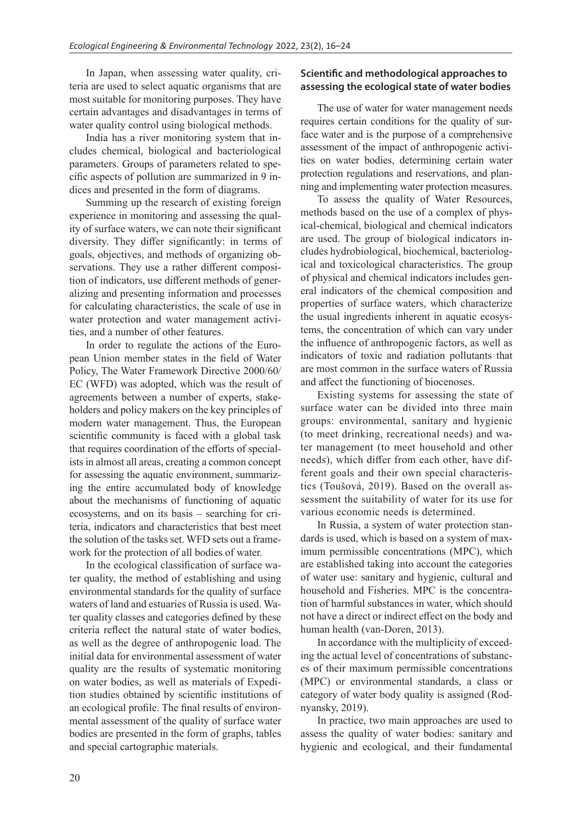In Japan, when assessing water quality, criteria are used to select aquatic organisms that are most suitable for monitoring purposes. They have certain advantages and disadvantages in terms of water quality control using biological methods.

India has a river monitoring system that includes chemical, biological and bacteriological parameters. Groups of parameters related to specific aspects of pollution are summarized in 9 indices and presented in the form of diagrams.

Summing up the research of existing foreign experience in monitoring and assessing the quality of surface waters, we can note their significant diversity. They differ significantly: in terms of goals, objectives, and methods of organizing observations. They use a rather different composition of indicators, use different methods of generalizing and presenting information and processes for calculating characteristics, the scale of use in water protection and water management activities, and a number of other features.

In order to regulate the actions of the European Union member states in the field of Water Policy, The Water Framework Directive 2000/60/ EC (WFD) was adopted, which was the result of agreements between a number of experts, stakeholders and policy makers on the key principles of modern water management. Thus, the European scientific community is faced with a global task that requires coordination of the efforts of specialists in almost all areas, creating a common concept for assessing the aquatic environment, summarizing the entire accumulated body of knowledge about the mechanisms of functioning of aquatic ecosystems, and on its basis – searching for criteria, indicators and characteristics that best meet the solution of the tasks set. WFD sets out a framework for the protection of all bodies of water.

In the ecological classification of surface water quality, the method of establishing and using environmental standards for the quality of surface waters of land and estuaries of Russia is used. Water quality classes and categories defined by these criteria reflect the natural state of water bodies, as well as the degree of anthropogenic load. The initial data for environmental assessment of water quality are the results of systematic monitoring on water bodies, as well as materials of Expedition studies obtained by scientific institutions of an ecological profile. The final results of environmental assessment of the quality of surface water bodies are presented in the form of graphs, tables and special cartographic materials.

## **Scientific and methodological approaches to assessing the ecological state of water bodies**

The use of water for water management needs requires certain conditions for the quality of surface water and is the purpose of a comprehensive assessment of the impact of anthropogenic activities on water bodies, determining certain water protection regulations and reservations, and planning and implementing water protection measures.

To assess the quality of Water Resources, methods based on the use of a complex of physical-chemical, biological and chemical indicators are used. The group of biological indicators includes hydrobiological, biochemical, bacteriological and toxicological characteristics. The group of physical and chemical indicators includes general indicators of the chemical composition and properties of surface waters, which characterize the usual ingredients inherent in aquatic ecosystems, the concentration of which can vary under the influence of anthropogenic factors, as well as indicators of toxic and radiation pollutants that are most common in the surface waters of Russia and affect the functioning of biocenoses.

Existing systems for assessing the state of surface water can be divided into three main groups: environmental, sanitary and hygienic (to meet drinking, recreational needs) and water management (to meet household and other needs), which differ from each other, have different goals and their own special characteristics (Toušová, 2019). Based on the overall assessment the suitability of water for its use for various economic needs is determined.

In Russia, a system of water protection standards is used, which is based on a system of maximum permissible concentrations (MPC), which are established taking into account the categories of water use: sanitary and hygienic, cultural and household and Fisheries. MPC is the concentration of harmful substances in water, which should not have a direct or indirect effect on the body and human health (van-Doren, 2013).

In accordance with the multiplicity of exceeding the actual level of concentrations of substances of their maximum permissible concentrations (MPC) or environmental standards, a class or category of water body quality is assigned (Rodnyansky, 2019).

In practice, two main approaches are used to assess the quality of water bodies: sanitary and hygienic and ecological, and their fundamental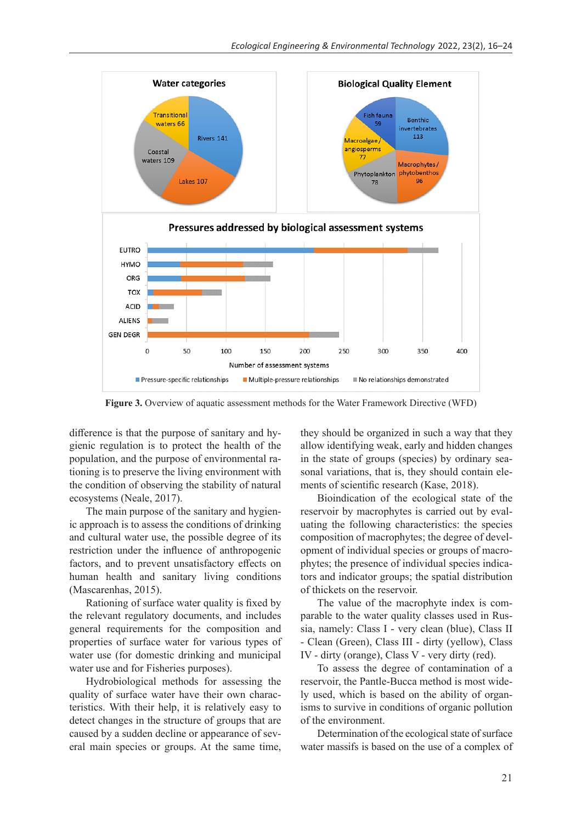

**Figure 3.** Overview of aquatic assessment methods for the Water Framework Directive (WFD)

difference is that the purpose of sanitary and hygienic regulation is to protect the health of the population, and the purpose of environmental rationing is to preserve the living environment with the condition of observing the stability of natural ecosystems (Neale, 2017).

The main purpose of the sanitary and hygienic approach is to assess the conditions of drinking and cultural water use, the possible degree of its restriction under the influence of anthropogenic factors, and to prevent unsatisfactory effects on human health and sanitary living conditions (Mascarenhas, 2015).

Rationing of surface water quality is fixed by the relevant regulatory documents, and includes general requirements for the composition and properties of surface water for various types of water use (for domestic drinking and municipal water use and for Fisheries purposes).

Hydrobiological methods for assessing the quality of surface water have their own characteristics. With their help, it is relatively easy to detect changes in the structure of groups that are caused by a sudden decline or appearance of several main species or groups. At the same time, they should be organized in such a way that they allow identifying weak, early and hidden changes in the state of groups (species) by ordinary seasonal variations, that is, they should contain elements of scientific research (Kase, 2018).

Bioindication of the ecological state of the reservoir by macrophytes is carried out by evaluating the following characteristics: the species composition of macrophytes; the degree of development of individual species or groups of macrophytes; the presence of individual species indicators and indicator groups; the spatial distribution of thickets on the reservoir.

The value of the macrophyte index is comparable to the water quality classes used in Russia, namely: Class I - very clean (blue), Class II - Clean (Green), Class III - dirty (yellow), Class IV - dirty (orange), Class V - very dirty (red).

To assess the degree of contamination of a reservoir, the Pantle-Bucca method is most widely used, which is based on the ability of organisms to survive in conditions of organic pollution of the environment.

Determination of the ecological state of surface water massifs is based on the use of a complex of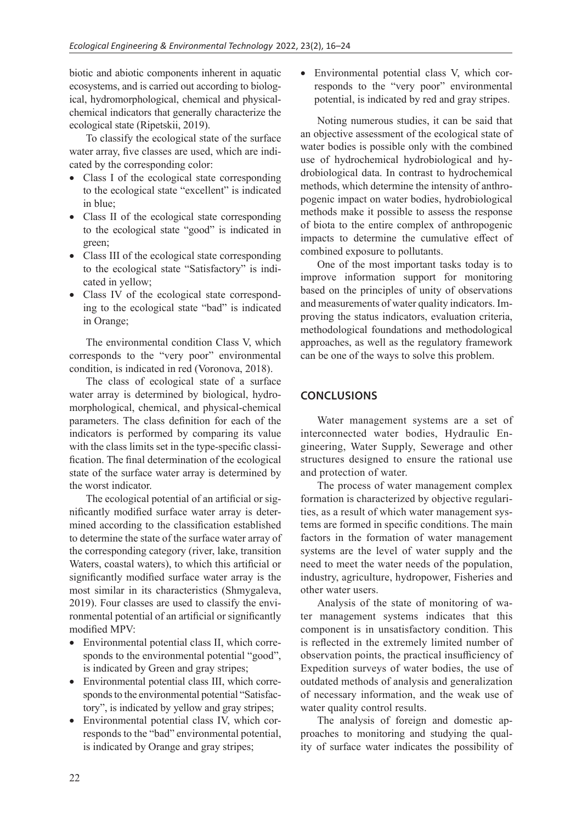biotic and abiotic components inherent in aquatic ecosystems, and is carried out according to biological, hydromorphological, chemical and physicalchemical indicators that generally characterize the ecological state (Ripetskii, 2019).

To classify the ecological state of the surface water array, five classes are used, which are indicated by the corresponding color:

- Class I of the ecological state corresponding to the ecological state "excellent" is indicated in blue;
- Class II of the ecological state corresponding to the ecological state "good" is indicated in green;
- Class III of the ecological state corresponding to the ecological state "Satisfactory" is indicated in yellow;
- Class IV of the ecological state corresponding to the ecological state "bad" is indicated in Orange;

The environmental condition Class V, which corresponds to the "very poor" environmental condition, is indicated in red (Voronova, 2018).

The class of ecological state of a surface water array is determined by biological, hydromorphological, chemical, and physical-chemical parameters. The class definition for each of the indicators is performed by comparing its value with the class limits set in the type-specific classification. The final determination of the ecological state of the surface water array is determined by the worst indicator.

The ecological potential of an artificial or significantly modified surface water array is determined according to the classification established to determine the state of the surface water array of the corresponding category (river, lake, transition Waters, coastal waters), to which this artificial or significantly modified surface water array is the most similar in its characteristics (Shmygaleva, 2019). Four classes are used to classify the environmental potential of an artificial or significantly modified MPV:

- Environmental potential class II, which corresponds to the environmental potential "good", is indicated by Green and gray stripes;
- Environmental potential class III, which corresponds to the environmental potential "Satisfactory", is indicated by yellow and gray stripes;
- Environmental potential class IV, which corresponds to the "bad" environmental potential, is indicated by Orange and gray stripes;

• Environmental potential class V, which corresponds to the "very poor" environmental potential, is indicated by red and gray stripes.

Noting numerous studies, it can be said that an objective assessment of the ecological state of water bodies is possible only with the combined use of hydrochemical hydrobiological and hydrobiological data. In contrast to hydrochemical methods, which determine the intensity of anthropogenic impact on water bodies, hydrobiological methods make it possible to assess the response of biota to the entire complex of anthropogenic impacts to determine the cumulative effect of combined exposure to pollutants.

One of the most important tasks today is to improve information support for monitoring based on the principles of unity of observations and measurements of water quality indicators. Improving the status indicators, evaluation criteria, methodological foundations and methodological approaches, as well as the regulatory framework can be one of the ways to solve this problem.

# **CONCLUSIONS**

Water management systems are a set of interconnected water bodies, Hydraulic Engineering, Water Supply, Sewerage and other structures designed to ensure the rational use and protection of water.

The process of water management complex formation is characterized by objective regularities, as a result of which water management systems are formed in specific conditions. The main factors in the formation of water management systems are the level of water supply and the need to meet the water needs of the population, industry, agriculture, hydropower, Fisheries and other water users.

Analysis of the state of monitoring of water management systems indicates that this component is in unsatisfactory condition. This is reflected in the extremely limited number of observation points, the practical insufficiency of Expedition surveys of water bodies, the use of outdated methods of analysis and generalization of necessary information, and the weak use of water quality control results.

The analysis of foreign and domestic approaches to monitoring and studying the quality of surface water indicates the possibility of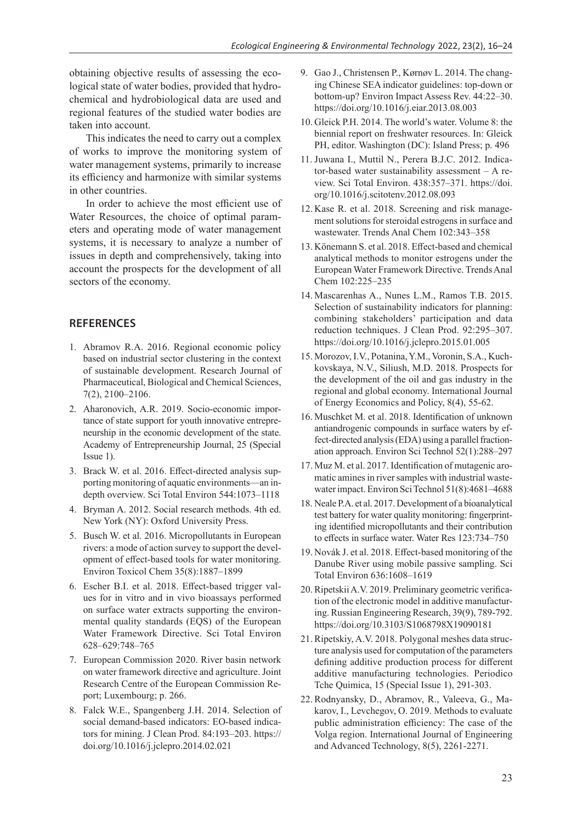obtaining objective results of assessing the ecological state of water bodies, provided that hydrochemical and hydrobiological data are used and regional features of the studied water bodies are taken into account.

This indicates the need to carry out a complex of works to improve the monitoring system of water management systems, primarily to increase its efficiency and harmonize with similar systems in other countries.

In order to achieve the most efficient use of Water Resources, the choice of optimal parameters and operating mode of water management systems, it is necessary to analyze a number of issues in depth and comprehensively, taking into account the prospects for the development of all sectors of the economy.

#### **REFERENCES**

- 1. Abramov R.A. 2016. Regional economic policy based on industrial sector clustering in the context of sustainable development. Research Journal of Pharmaceutical, Biological and Chemical Sciences, 7(2), 2100–2106.
- 2. Aharonovich, A.R. 2019. Socio-economic importance of state support for youth innovative entrepreneurship in the economic development of the state. Academy of Entrepreneurship Journal, 25 (Special Issue 1).
- 3. Brack W. et al. 2016. Effect-directed analysis supporting monitoring of aquatic environments—an indepth overview. Sci Total Environ 544:1073–1118
- 4. Bryman A. 2012. Social research methods. 4th ed. New York (NY): Oxford University Press.
- 5. Busch W. et al. 2016. Micropollutants in European rivers: a mode of action survey to support the development of effect-based tools for water monitoring. Environ Toxicol Chem 35(8):1887–1899
- 6. Escher B.I. et al. 2018. Effect-based trigger values for in vitro and in vivo bioassays performed on surface water extracts supporting the environmental quality standards (EQS) of the European Water Framework Directive. Sci Total Environ 628–629:748–765
- 7. European Commission 2020. River basin network on water framework directive and agriculture. Joint Research Centre of the European Commission Report; Luxembourg; p. 266.
- 8. Falck W.E., Spangenberg J.H. 2014. Selection of social demand-based indicators: EO-based indicators for mining. J Clean Prod. 84:193–203. https:// doi.org/10.1016/j.jclepro.2014.02.021
- 9. Gao J., Christensen P., Kørnøv L. 2014. The changing Chinese SEA indicator guidelines: top-down or bottom-up? Environ Impact Assess Rev. 44:22–30. https://doi.org/10.1016/j.eiar.2013.08.003
- 10. Gleick P.H. 2014. The world's water. Volume 8: the biennial report on freshwater resources. In: Gleick PH, editor. Washington (DC): Island Press; p. 496
- 11. Juwana I., Muttil N., Perera B.J.C. 2012. Indicator-based water sustainability assessment – A review. Sci Total Environ. 438:357–371. https://doi. org/10.1016/j.scitotenv.2012.08.093
- 12. Kase R. et al. 2018. Screening and risk management solutions for steroidal estrogens in surface and wastewater. Trends Anal Chem 102:343–358
- 13. Könemann S. et al. 2018. Effect-based and chemical analytical methods to monitor estrogens under the European Water Framework Directive. Trends Anal Chem 102:225–235
- 14. Mascarenhas A., Nunes L.M., Ramos T.B. 2015. Selection of sustainability indicators for planning: combining stakeholders' participation and data reduction techniques. J Clean Prod. 92:295–307. https://doi.org/10.1016/j.jclepro.2015.01.005
- 15. Morozov, I.V., Potanina, Y.M., Voronin, S.A., Kuchkovskaya, N.V., Siliush, M.D. 2018. Prospects for the development of the oil and gas industry in the regional and global economy. International Journal of Energy Economics and Policy, 8(4), 55-62.
- 16. Muschket M. et al. 2018. Identification of unknown antiandrogenic compounds in surface waters by effect-directed analysis (EDA) using a parallel fractionation approach. Environ Sci Technol 52(1):288–297
- 17. Muz M. et al. 2017. Identification of mutagenic aromatic amines in river samples with industrial wastewater impact. Environ Sci Technol 51(8):4681–4688
- 18. Neale P.A. et al. 2017. Development of a bioanalytical test battery for water quality monitoring: fingerprinting identified micropollutants and their contribution to effects in surface water. Water Res 123:734–750
- 19. Novák J. et al. 2018. Effect-based monitoring of the Danube River using mobile passive sampling. Sci Total Environ 636:1608–1619
- 20. Ripetskii A.V. 2019. Preliminary geometric verification of the electronic model in additive manufacturing. Russian Engineering Research, 39(9), 789-792. https://doi.org/10.3103/S1068798X19090181
- 21. Ripetskiy, A.V. 2018. Polygonal meshes data structure analysis used for computation of the parameters defining additive production process for different additive manufacturing technologies. Periodico Tche Quimica, 15 (Special Issue 1), 291-303.
- 22.Rodnyansky, D., Abramov, R., Valeeva, G., Makarov, I., Levchegov, O. 2019. Methods to evaluate public administration efficiency: The case of the Volga region. International Journal of Engineering and Advanced Technology, 8(5), 2261-2271.